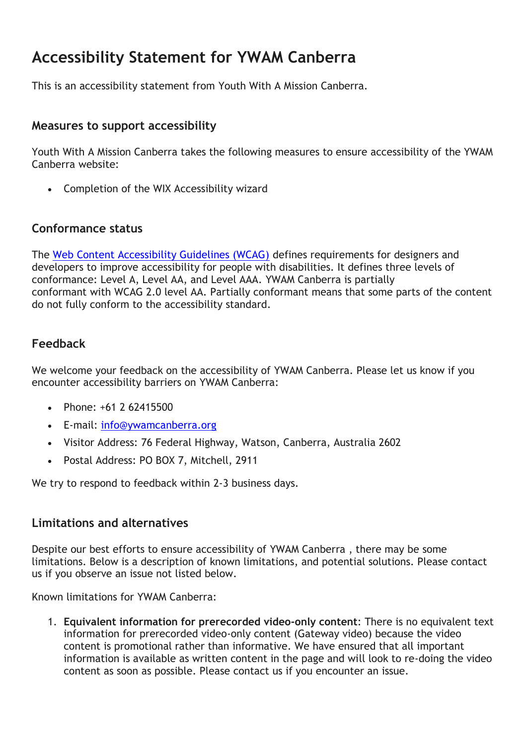# **Accessibility Statement for YWAM Canberra**

This is an accessibility statement from Youth With A Mission Canberra.

### **Measures to support accessibility**

Youth With A Mission Canberra takes the following measures to ensure accessibility of the YWAM Canberra website:

• Completion of the WIX Accessibility wizard

#### **Conformance status**

The [Web Content Accessibility Guidelines \(WCAG\)](https://www.w3.org/WAI/standards-guidelines/wcag/) defines requirements for designers and developers to improve accessibility for people with disabilities. It defines three levels of conformance: Level A, Level AA, and Level AAA. YWAM Canberra is partially conformant with WCAG 2.0 level AA. Partially conformant means that some parts of the content do not fully conform to the accessibility standard.

## **Feedback**

We welcome your feedback on the accessibility of YWAM Canberra. Please let us know if you encounter accessibility barriers on YWAM Canberra:

- Phone: +61 2 62415500
- E-mail: [info@ywamcanberra.org](mailto:info@ywamcanberra.orginfo@ywamcanberra.orginfo@ywamcanberra.org)
- Visitor Address: 76 Federal Highway, Watson, Canberra, Australia 2602
- Postal Address: PO BOX 7, Mitchell, 2911

We try to respond to feedback within 2-3 business days.

#### **Limitations and alternatives**

Despite our best efforts to ensure accessibility of YWAM Canberra , there may be some limitations. Below is a description of known limitations, and potential solutions. Please contact us if you observe an issue not listed below.

Known limitations for YWAM Canberra:

1. **Equivalent information for prerecorded video-only content**: There is no equivalent text information for prerecorded video-only content (Gateway video) because the video content is promotional rather than informative. We have ensured that all important information is available as written content in the page and will look to re-doing the video content as soon as possible. Please contact us if you encounter an issue.